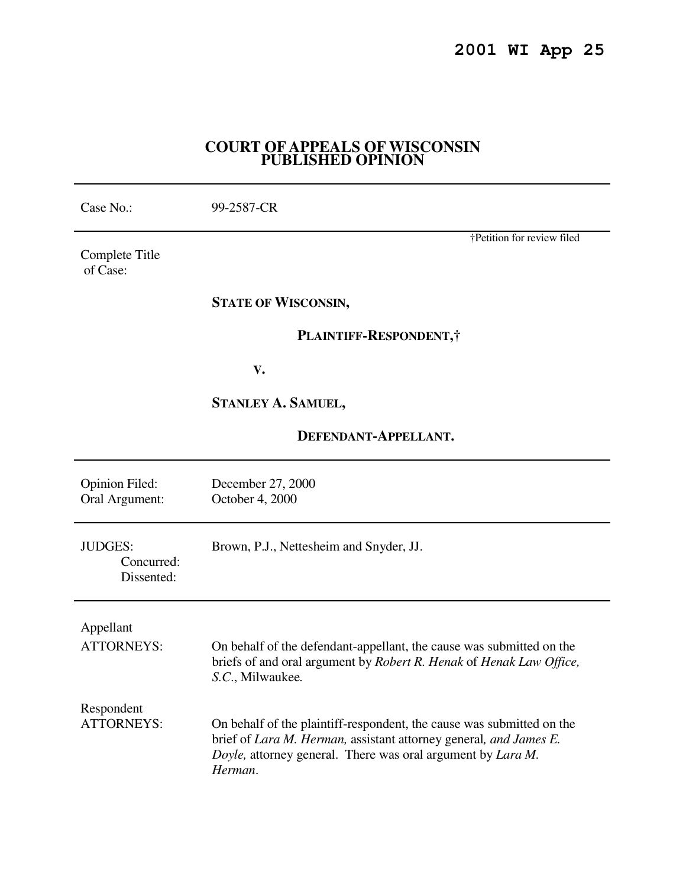# **COURT OF APPEALS OF WISCONSIN PUBLISHED OPINION**

| Case No.:                                  | 99-2587-CR                                                                                                                                                                                                           |
|--------------------------------------------|----------------------------------------------------------------------------------------------------------------------------------------------------------------------------------------------------------------------|
| Complete Title<br>of Case:                 | †Petition for review filed                                                                                                                                                                                           |
|                                            | <b>STATE OF WISCONSIN,</b>                                                                                                                                                                                           |
|                                            | PLAINTIFF-RESPONDENT,                                                                                                                                                                                                |
|                                            | V.                                                                                                                                                                                                                   |
|                                            | <b>STANLEY A. SAMUEL,</b>                                                                                                                                                                                            |
| DEFENDANT-APPELLANT.                       |                                                                                                                                                                                                                      |
| <b>Opinion Filed:</b><br>Oral Argument:    | December 27, 2000<br>October 4, 2000                                                                                                                                                                                 |
| <b>JUDGES:</b><br>Concurred:<br>Dissented: | Brown, P.J., Nettesheim and Snyder, JJ.                                                                                                                                                                              |
| Appellant<br><b>ATTORNEYS:</b>             | On behalf of the defendant-appellant, the cause was submitted on the<br>briefs of and oral argument by Robert R. Henak of Henak Law Office,<br>S.C., Milwaukee.                                                      |
| Respondent<br><b>ATTORNEYS:</b>            | On behalf of the plaintiff-respondent, the cause was submitted on the<br>brief of Lara M. Herman, assistant attorney general, and James E.<br>Doyle, attorney general. There was oral argument by Lara M.<br>Herman. |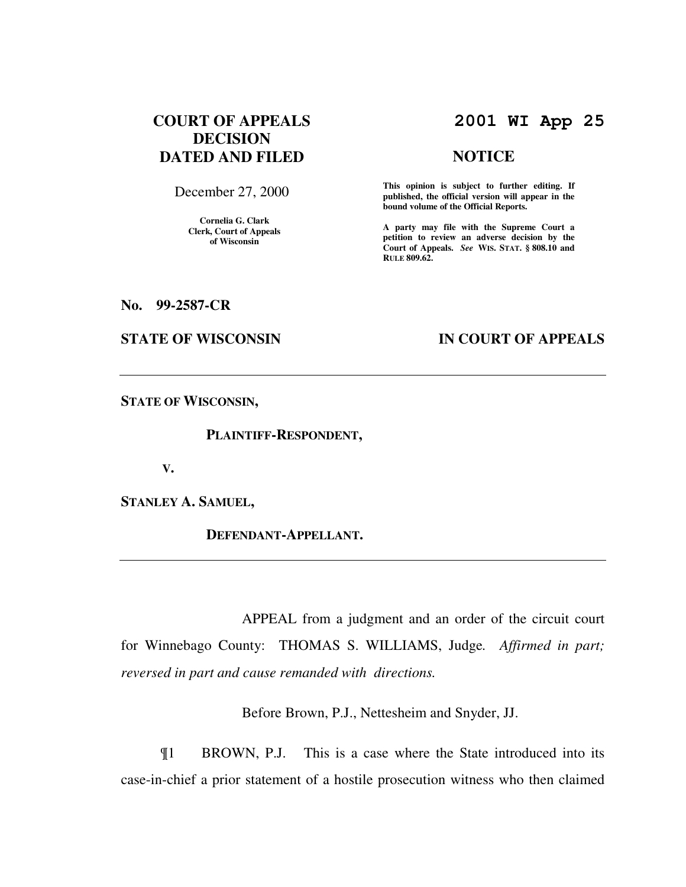# **COURT OF APPEALS DECISION DATED AND FILED**

December 27, 2000

**Cornelia G. Clark Clerk, Court of Appeals of Wisconsin** 

# **2001 WI App 25**

#### **NOTICE**

**This opinion is subject to further editing. If published, the official version will appear in the bound volume of the Official Reports.**

**A party may file with the Supreme Court a petition to review an adverse decision by the Court of Appeals.** *See* **WIS. STAT. § 808.10 and RULE 809.62.** 

**No. 99-2587-CR** 

# **STATE OF WISCONSIN IN COURT OF APPEALS**

**STATE OF WISCONSIN,** 

 **PLAINTIFF-RESPONDENT,** 

 **V.** 

**STANLEY A. SAMUEL,** 

 **DEFENDANT-APPELLANT.** 

 APPEAL from a judgment and an order of the circuit court for Winnebago County: THOMAS S. WILLIAMS, Judge*. Affirmed in part; reversed in part and cause remanded with directions.*

Before Brown, P.J., Nettesheim and Snyder, JJ.

¶1 BROWN, P.J. This is a case where the State introduced into its case-in-chief a prior statement of a hostile prosecution witness who then claimed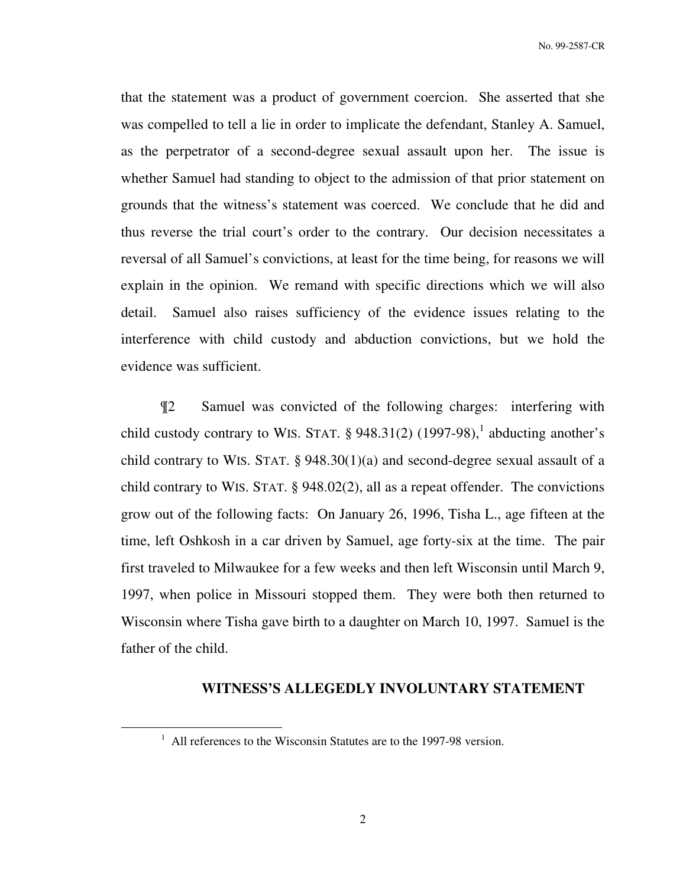that the statement was a product of government coercion. She asserted that she was compelled to tell a lie in order to implicate the defendant, Stanley A. Samuel, as the perpetrator of a second-degree sexual assault upon her. The issue is whether Samuel had standing to object to the admission of that prior statement on grounds that the witness's statement was coerced. We conclude that he did and thus reverse the trial court's order to the contrary. Our decision necessitates a reversal of all Samuel's convictions, at least for the time being, for reasons we will explain in the opinion. We remand with specific directions which we will also detail. Samuel also raises sufficiency of the evidence issues relating to the interference with child custody and abduction convictions, but we hold the evidence was sufficient.

¶2 Samuel was convicted of the following charges: interfering with child custody contrary to WIS. STAT.  $\S$  948.31(2) (1997-98),<sup>1</sup> abducting another's child contrary to WIS. STAT.  $\S$  948.30(1)(a) and second-degree sexual assault of a child contrary to WIS. STAT. § 948.02(2), all as a repeat offender. The convictions grow out of the following facts: On January 26, 1996, Tisha L., age fifteen at the time, left Oshkosh in a car driven by Samuel, age forty-six at the time. The pair first traveled to Milwaukee for a few weeks and then left Wisconsin until March 9, 1997, when police in Missouri stopped them. They were both then returned to Wisconsin where Tisha gave birth to a daughter on March 10, 1997. Samuel is the father of the child.

#### **WITNESS'S ALLEGEDLY INVOLUNTARY STATEMENT**

 $\overline{a}$ 

<sup>&</sup>lt;sup>1</sup> All references to the Wisconsin Statutes are to the 1997-98 version.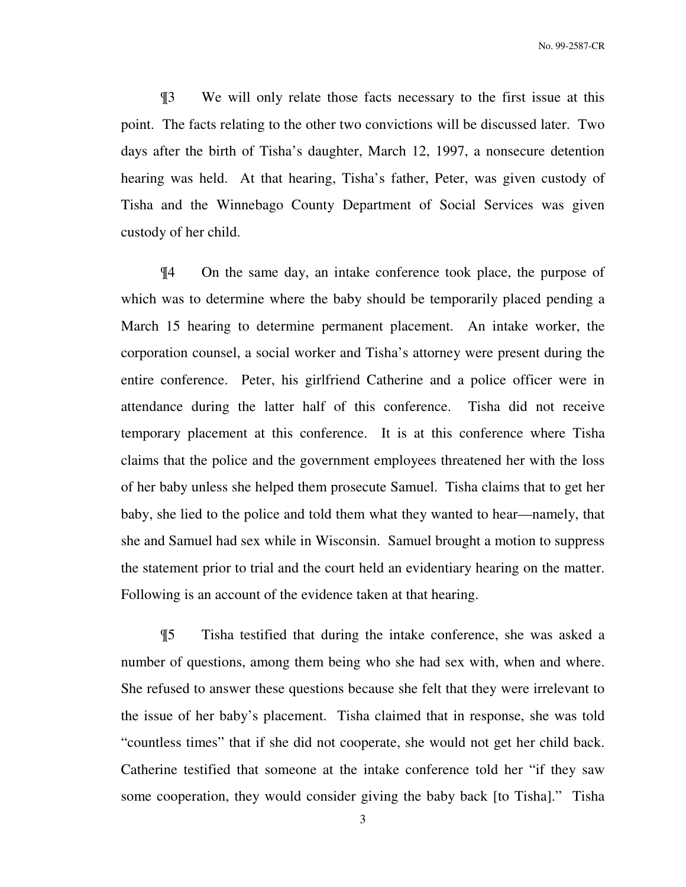¶3 We will only relate those facts necessary to the first issue at this point. The facts relating to the other two convictions will be discussed later. Two days after the birth of Tisha's daughter, March 12, 1997, a nonsecure detention hearing was held. At that hearing, Tisha's father, Peter, was given custody of Tisha and the Winnebago County Department of Social Services was given custody of her child.

¶4 On the same day, an intake conference took place, the purpose of which was to determine where the baby should be temporarily placed pending a March 15 hearing to determine permanent placement. An intake worker, the corporation counsel, a social worker and Tisha's attorney were present during the entire conference. Peter, his girlfriend Catherine and a police officer were in attendance during the latter half of this conference. Tisha did not receive temporary placement at this conference. It is at this conference where Tisha claims that the police and the government employees threatened her with the loss of her baby unless she helped them prosecute Samuel. Tisha claims that to get her baby, she lied to the police and told them what they wanted to hear—namely, that she and Samuel had sex while in Wisconsin. Samuel brought a motion to suppress the statement prior to trial and the court held an evidentiary hearing on the matter. Following is an account of the evidence taken at that hearing.

¶5 Tisha testified that during the intake conference, she was asked a number of questions, among them being who she had sex with, when and where. She refused to answer these questions because she felt that they were irrelevant to the issue of her baby's placement. Tisha claimed that in response, she was told "countless times" that if she did not cooperate, she would not get her child back. Catherine testified that someone at the intake conference told her "if they saw some cooperation, they would consider giving the baby back [to Tisha]." Tisha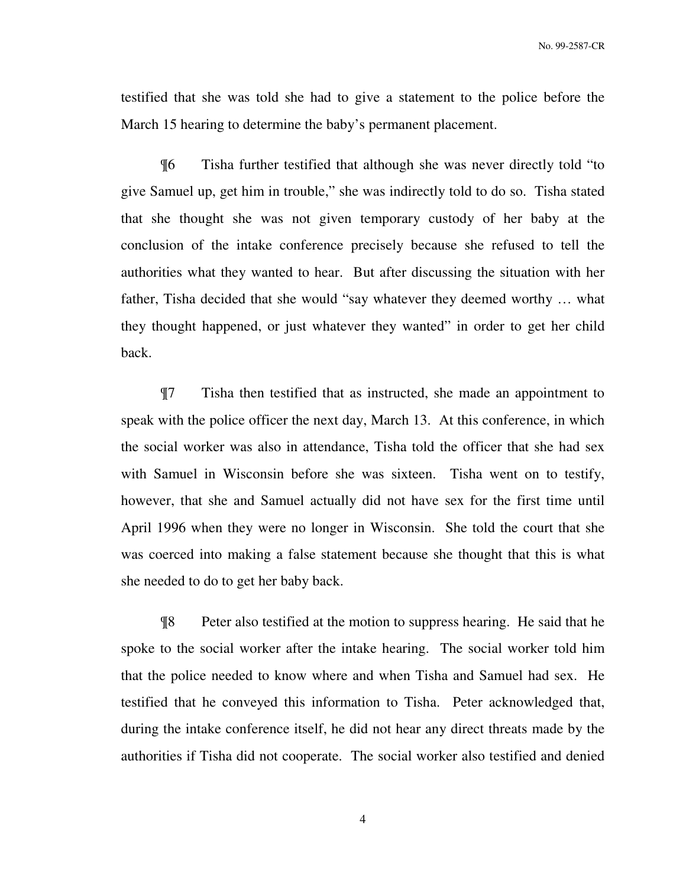testified that she was told she had to give a statement to the police before the March 15 hearing to determine the baby's permanent placement.

¶6 Tisha further testified that although she was never directly told "to give Samuel up, get him in trouble," she was indirectly told to do so. Tisha stated that she thought she was not given temporary custody of her baby at the conclusion of the intake conference precisely because she refused to tell the authorities what they wanted to hear. But after discussing the situation with her father, Tisha decided that she would "say whatever they deemed worthy … what they thought happened, or just whatever they wanted" in order to get her child back.

¶7 Tisha then testified that as instructed, she made an appointment to speak with the police officer the next day, March 13. At this conference, in which the social worker was also in attendance, Tisha told the officer that she had sex with Samuel in Wisconsin before she was sixteen. Tisha went on to testify, however, that she and Samuel actually did not have sex for the first time until April 1996 when they were no longer in Wisconsin. She told the court that she was coerced into making a false statement because she thought that this is what she needed to do to get her baby back.

¶8 Peter also testified at the motion to suppress hearing. He said that he spoke to the social worker after the intake hearing. The social worker told him that the police needed to know where and when Tisha and Samuel had sex. He testified that he conveyed this information to Tisha. Peter acknowledged that, during the intake conference itself, he did not hear any direct threats made by the authorities if Tisha did not cooperate. The social worker also testified and denied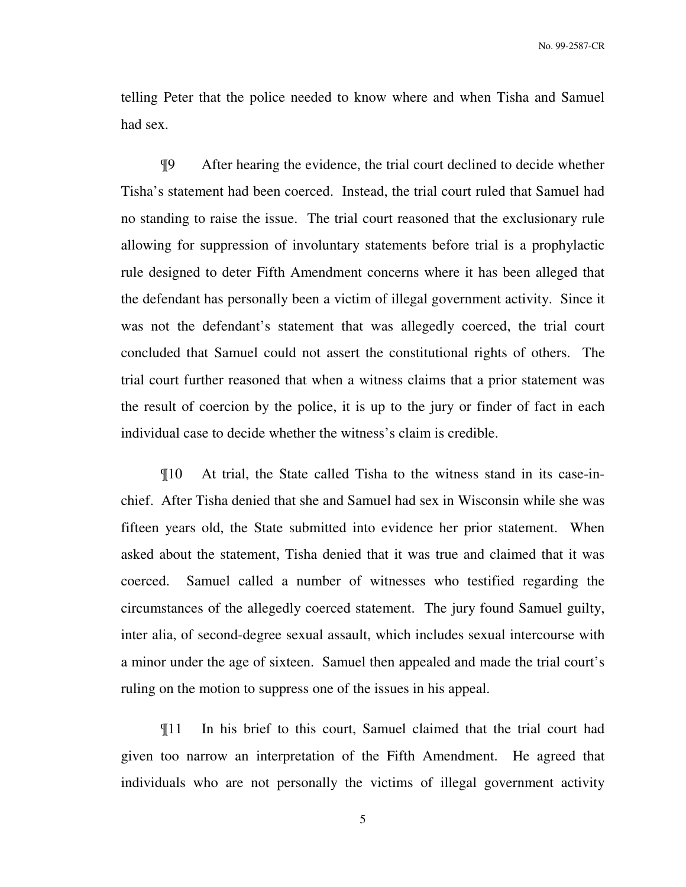telling Peter that the police needed to know where and when Tisha and Samuel had sex.

¶9 After hearing the evidence, the trial court declined to decide whether Tisha's statement had been coerced. Instead, the trial court ruled that Samuel had no standing to raise the issue. The trial court reasoned that the exclusionary rule allowing for suppression of involuntary statements before trial is a prophylactic rule designed to deter Fifth Amendment concerns where it has been alleged that the defendant has personally been a victim of illegal government activity. Since it was not the defendant's statement that was allegedly coerced, the trial court concluded that Samuel could not assert the constitutional rights of others. The trial court further reasoned that when a witness claims that a prior statement was the result of coercion by the police, it is up to the jury or finder of fact in each individual case to decide whether the witness's claim is credible.

¶10 At trial, the State called Tisha to the witness stand in its case-inchief. After Tisha denied that she and Samuel had sex in Wisconsin while she was fifteen years old, the State submitted into evidence her prior statement. When asked about the statement, Tisha denied that it was true and claimed that it was coerced. Samuel called a number of witnesses who testified regarding the circumstances of the allegedly coerced statement. The jury found Samuel guilty, inter alia, of second-degree sexual assault, which includes sexual intercourse with a minor under the age of sixteen. Samuel then appealed and made the trial court's ruling on the motion to suppress one of the issues in his appeal.

¶11 In his brief to this court, Samuel claimed that the trial court had given too narrow an interpretation of the Fifth Amendment. He agreed that individuals who are not personally the victims of illegal government activity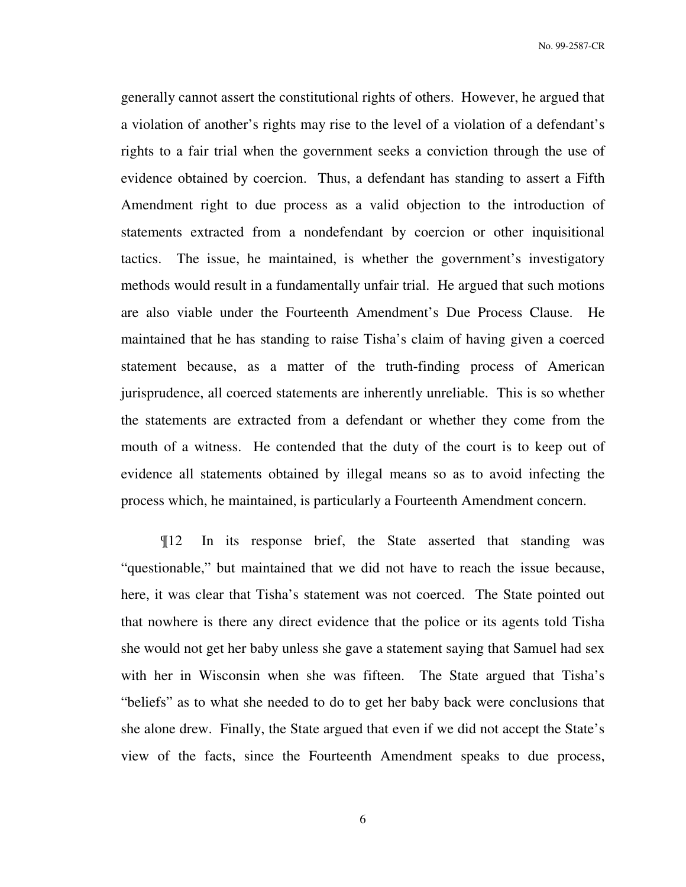generally cannot assert the constitutional rights of others. However, he argued that a violation of another's rights may rise to the level of a violation of a defendant's rights to a fair trial when the government seeks a conviction through the use of evidence obtained by coercion. Thus, a defendant has standing to assert a Fifth Amendment right to due process as a valid objection to the introduction of statements extracted from a nondefendant by coercion or other inquisitional tactics. The issue, he maintained, is whether the government's investigatory methods would result in a fundamentally unfair trial. He argued that such motions are also viable under the Fourteenth Amendment's Due Process Clause. He maintained that he has standing to raise Tisha's claim of having given a coerced statement because, as a matter of the truth-finding process of American jurisprudence, all coerced statements are inherently unreliable. This is so whether the statements are extracted from a defendant or whether they come from the mouth of a witness. He contended that the duty of the court is to keep out of evidence all statements obtained by illegal means so as to avoid infecting the process which, he maintained, is particularly a Fourteenth Amendment concern.

¶12 In its response brief, the State asserted that standing was "questionable," but maintained that we did not have to reach the issue because, here, it was clear that Tisha's statement was not coerced. The State pointed out that nowhere is there any direct evidence that the police or its agents told Tisha she would not get her baby unless she gave a statement saying that Samuel had sex with her in Wisconsin when she was fifteen. The State argued that Tisha's "beliefs" as to what she needed to do to get her baby back were conclusions that she alone drew. Finally, the State argued that even if we did not accept the State's view of the facts, since the Fourteenth Amendment speaks to due process,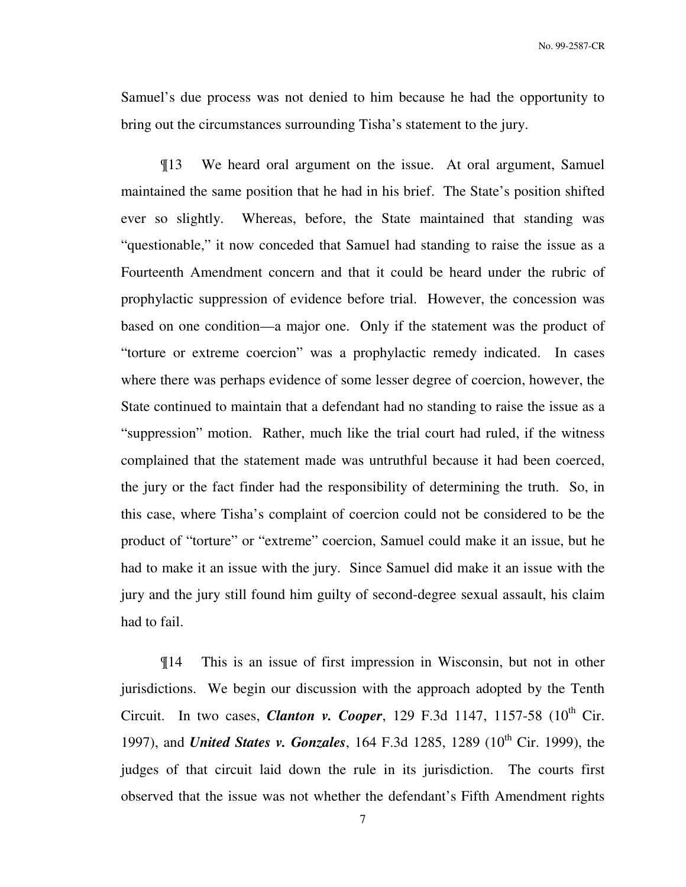Samuel's due process was not denied to him because he had the opportunity to bring out the circumstances surrounding Tisha's statement to the jury.

¶13 We heard oral argument on the issue. At oral argument, Samuel maintained the same position that he had in his brief. The State's position shifted ever so slightly. Whereas, before, the State maintained that standing was "questionable," it now conceded that Samuel had standing to raise the issue as a Fourteenth Amendment concern and that it could be heard under the rubric of prophylactic suppression of evidence before trial. However, the concession was based on one condition—a major one. Only if the statement was the product of "torture or extreme coercion" was a prophylactic remedy indicated. In cases where there was perhaps evidence of some lesser degree of coercion, however, the State continued to maintain that a defendant had no standing to raise the issue as a "suppression" motion. Rather, much like the trial court had ruled, if the witness complained that the statement made was untruthful because it had been coerced, the jury or the fact finder had the responsibility of determining the truth. So, in this case, where Tisha's complaint of coercion could not be considered to be the product of "torture" or "extreme" coercion, Samuel could make it an issue, but he had to make it an issue with the jury. Since Samuel did make it an issue with the jury and the jury still found him guilty of second-degree sexual assault, his claim had to fail.

¶14 This is an issue of first impression in Wisconsin, but not in other jurisdictions. We begin our discussion with the approach adopted by the Tenth Circuit. In two cases, *Clanton v. Cooper*, 129 F.3d 1147, 1157-58 ( $10^{th}$  Cir. 1997), and *United States v. Gonzales*, 164 F.3d 1285, 1289 (10<sup>th</sup> Cir. 1999), the judges of that circuit laid down the rule in its jurisdiction. The courts first observed that the issue was not whether the defendant's Fifth Amendment rights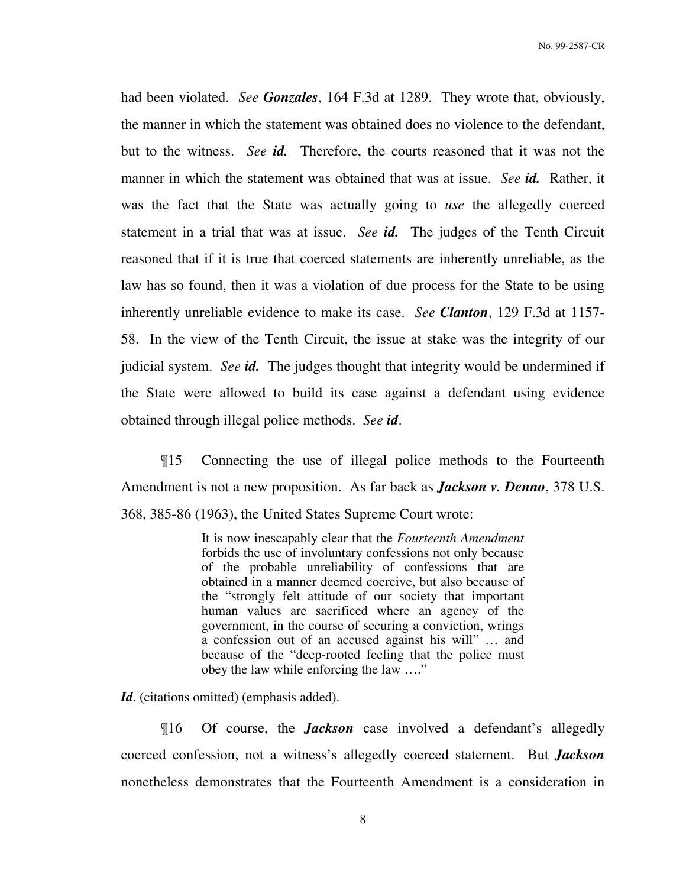had been violated. *See Gonzales*, 164 F.3d at 1289. They wrote that, obviously, the manner in which the statement was obtained does no violence to the defendant, but to the witness. *See id.* Therefore, the courts reasoned that it was not the manner in which the statement was obtained that was at issue. *See id.* Rather, it was the fact that the State was actually going to *use* the allegedly coerced statement in a trial that was at issue. *See id.* The judges of the Tenth Circuit reasoned that if it is true that coerced statements are inherently unreliable, as the law has so found, then it was a violation of due process for the State to be using inherently unreliable evidence to make its case. *See Clanton*, 129 F.3d at 1157- 58. In the view of the Tenth Circuit, the issue at stake was the integrity of our judicial system. *See id.* The judges thought that integrity would be undermined if the State were allowed to build its case against a defendant using evidence obtained through illegal police methods. *See id*.

¶15 Connecting the use of illegal police methods to the Fourteenth Amendment is not a new proposition. As far back as *Jackson v. Denno*, 378 U.S. 368, 385-86 (1963), the United States Supreme Court wrote:

> It is now inescapably clear that the *Fourteenth Amendment* forbids the use of involuntary confessions not only because of the probable unreliability of confessions that are obtained in a manner deemed coercive, but also because of the "strongly felt attitude of our society that important human values are sacrificed where an agency of the government, in the course of securing a conviction, wrings a confession out of an accused against his will" … and because of the "deep-rooted feeling that the police must obey the law while enforcing the law …."

Id. (citations omitted) (emphasis added).

¶16 Of course, the *Jackson* case involved a defendant's allegedly coerced confession, not a witness's allegedly coerced statement. But *Jackson* nonetheless demonstrates that the Fourteenth Amendment is a consideration in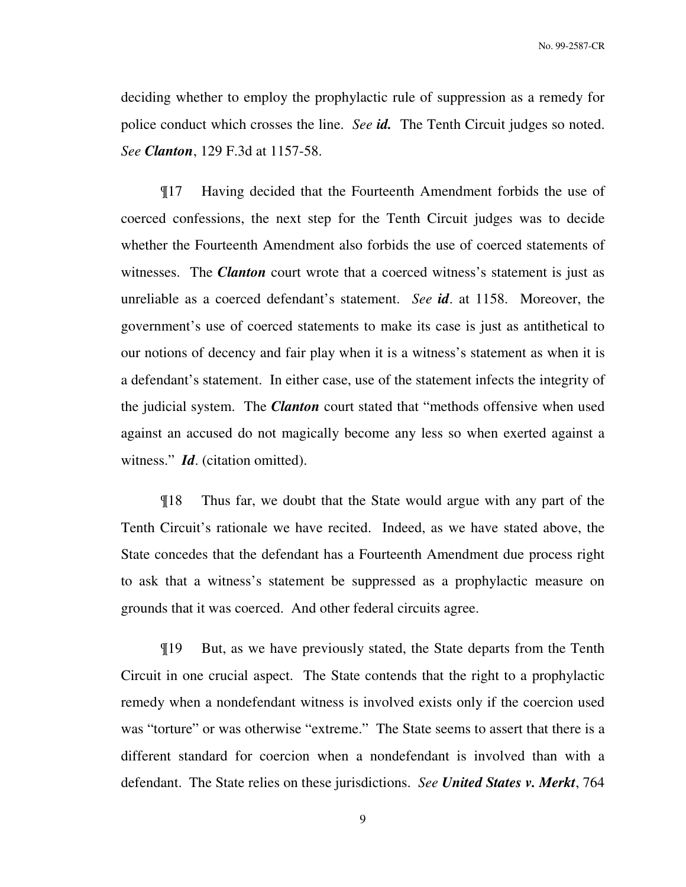deciding whether to employ the prophylactic rule of suppression as a remedy for police conduct which crosses the line. *See id.* The Tenth Circuit judges so noted. *See Clanton*, 129 F.3d at 1157-58.

¶17 Having decided that the Fourteenth Amendment forbids the use of coerced confessions, the next step for the Tenth Circuit judges was to decide whether the Fourteenth Amendment also forbids the use of coerced statements of witnesses. The *Clanton* court wrote that a coerced witness's statement is just as unreliable as a coerced defendant's statement. *See id*. at 1158. Moreover, the government's use of coerced statements to make its case is just as antithetical to our notions of decency and fair play when it is a witness's statement as when it is a defendant's statement. In either case, use of the statement infects the integrity of the judicial system. The *Clanton* court stated that "methods offensive when used against an accused do not magically become any less so when exerted against a witness." *Id*. (citation omitted).

¶18 Thus far, we doubt that the State would argue with any part of the Tenth Circuit's rationale we have recited. Indeed, as we have stated above, the State concedes that the defendant has a Fourteenth Amendment due process right to ask that a witness's statement be suppressed as a prophylactic measure on grounds that it was coerced. And other federal circuits agree.

¶19 But, as we have previously stated, the State departs from the Tenth Circuit in one crucial aspect. The State contends that the right to a prophylactic remedy when a nondefendant witness is involved exists only if the coercion used was "torture" or was otherwise "extreme." The State seems to assert that there is a different standard for coercion when a nondefendant is involved than with a defendant. The State relies on these jurisdictions. *See United States v. Merkt*, 764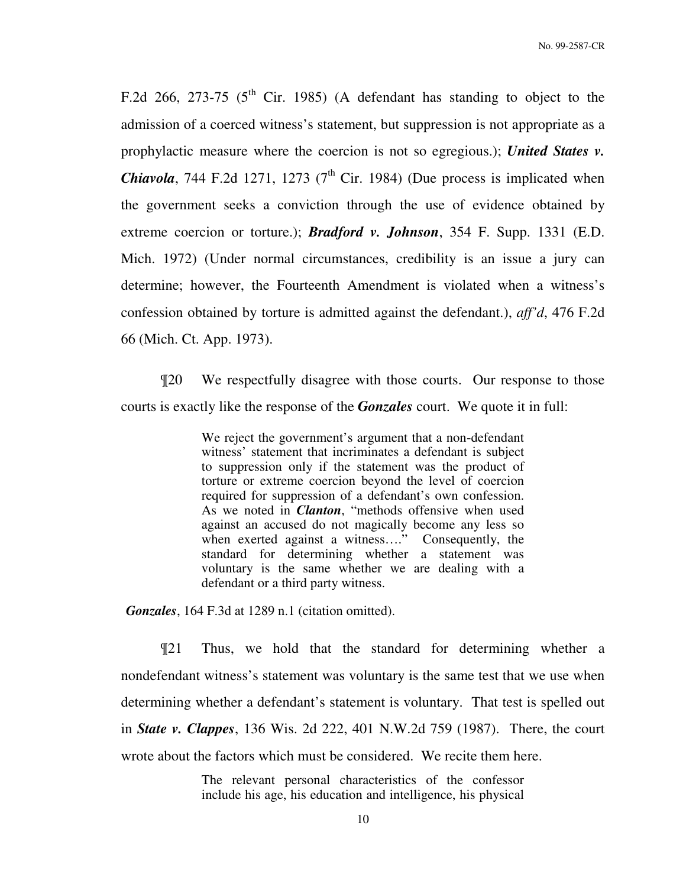F.2d 266, 273-75 ( $5<sup>th</sup>$  Cir. 1985) (A defendant has standing to object to the admission of a coerced witness's statement, but suppression is not appropriate as a prophylactic measure where the coercion is not so egregious.); *United States v. Chiavola*, 744 F.2d 1271, 1273 ( $7<sup>th</sup>$  Cir. 1984) (Due process is implicated when the government seeks a conviction through the use of evidence obtained by extreme coercion or torture.); *Bradford v. Johnson*, 354 F. Supp. 1331 (E.D. Mich. 1972) (Under normal circumstances, credibility is an issue a jury can determine; however, the Fourteenth Amendment is violated when a witness's confession obtained by torture is admitted against the defendant.), *aff'd*, 476 F.2d 66 (Mich. Ct. App. 1973).

¶20 We respectfully disagree with those courts. Our response to those courts is exactly like the response of the *Gonzales* court. We quote it in full:

> We reject the government's argument that a non-defendant witness' statement that incriminates a defendant is subject to suppression only if the statement was the product of torture or extreme coercion beyond the level of coercion required for suppression of a defendant's own confession. As we noted in *Clanton*, "methods offensive when used against an accused do not magically become any less so when exerted against a witness...." Consequently, the standard for determining whether a statement was voluntary is the same whether we are dealing with a defendant or a third party witness.

*Gonzales*, 164 F.3d at 1289 n.1 (citation omitted).

¶21 Thus, we hold that the standard for determining whether a nondefendant witness's statement was voluntary is the same test that we use when determining whether a defendant's statement is voluntary. That test is spelled out in *State v. Clappes*, 136 Wis. 2d 222, 401 N.W.2d 759 (1987). There, the court wrote about the factors which must be considered. We recite them here.

> The relevant personal characteristics of the confessor include his age, his education and intelligence, his physical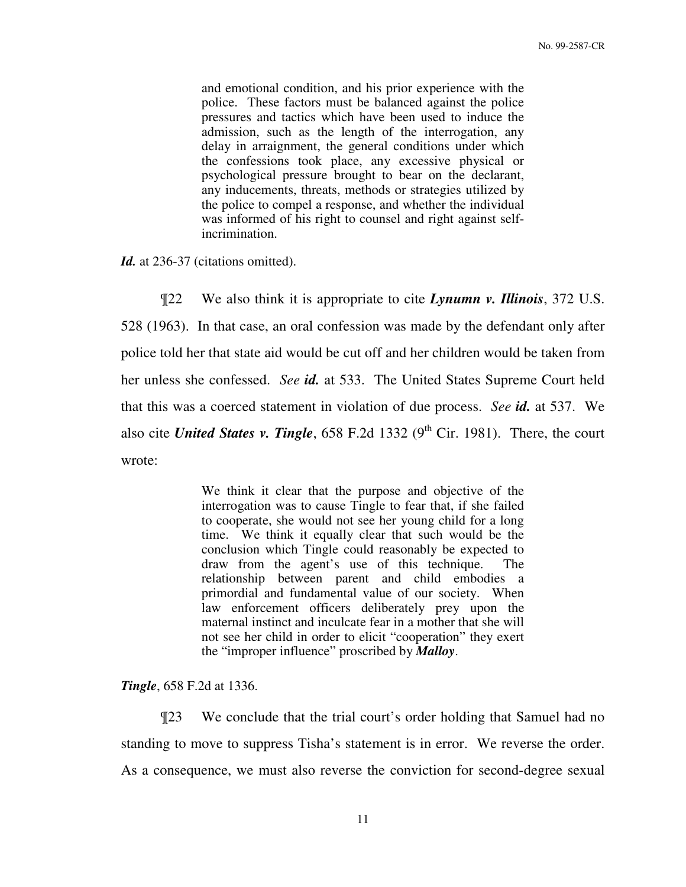and emotional condition, and his prior experience with the police. These factors must be balanced against the police pressures and tactics which have been used to induce the admission, such as the length of the interrogation, any delay in arraignment, the general conditions under which the confessions took place, any excessive physical or psychological pressure brought to bear on the declarant, any inducements, threats, methods or strategies utilized by the police to compel a response, and whether the individual was informed of his right to counsel and right against selfincrimination.

Id. at 236-37 (citations omitted).

¶22 We also think it is appropriate to cite *Lynumn v. Illinois*, 372 U.S. 528 (1963). In that case, an oral confession was made by the defendant only after police told her that state aid would be cut off and her children would be taken from her unless she confessed. *See id.* at 533. The United States Supreme Court held that this was a coerced statement in violation of due process. *See id.* at 537. We also cite *United States v. Tingle*,  $658$  F.2d 1332 (9<sup>th</sup> Cir. 1981). There, the court wrote:

> We think it clear that the purpose and objective of the interrogation was to cause Tingle to fear that, if she failed to cooperate, she would not see her young child for a long time. We think it equally clear that such would be the conclusion which Tingle could reasonably be expected to draw from the agent's use of this technique. The relationship between parent and child embodies a primordial and fundamental value of our society. When law enforcement officers deliberately prey upon the maternal instinct and inculcate fear in a mother that she will not see her child in order to elicit "cooperation" they exert the "improper influence" proscribed by *Malloy*.

*Tingle*, 658 F.2d at 1336.

¶23 We conclude that the trial court's order holding that Samuel had no standing to move to suppress Tisha's statement is in error. We reverse the order. As a consequence, we must also reverse the conviction for second-degree sexual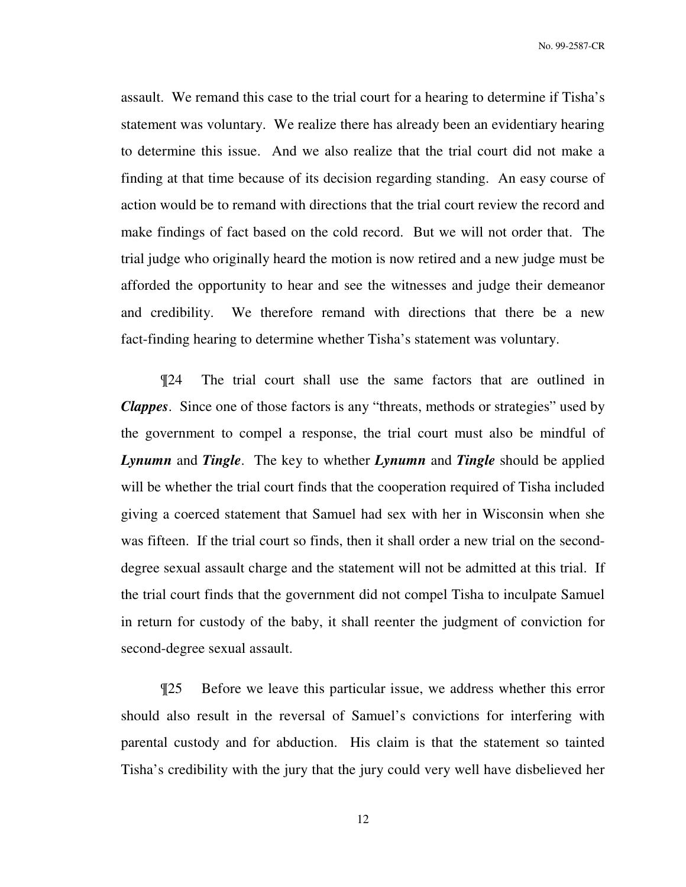assault. We remand this case to the trial court for a hearing to determine if Tisha's statement was voluntary. We realize there has already been an evidentiary hearing to determine this issue. And we also realize that the trial court did not make a finding at that time because of its decision regarding standing. An easy course of action would be to remand with directions that the trial court review the record and make findings of fact based on the cold record. But we will not order that. The trial judge who originally heard the motion is now retired and a new judge must be afforded the opportunity to hear and see the witnesses and judge their demeanor and credibility. We therefore remand with directions that there be a new fact-finding hearing to determine whether Tisha's statement was voluntary.

¶24 The trial court shall use the same factors that are outlined in *Clappes*. Since one of those factors is any "threats, methods or strategies" used by the government to compel a response, the trial court must also be mindful of *Lynumn* and *Tingle*.The key to whether *Lynumn* and *Tingle* should be applied will be whether the trial court finds that the cooperation required of Tisha included giving a coerced statement that Samuel had sex with her in Wisconsin when she was fifteen. If the trial court so finds, then it shall order a new trial on the seconddegree sexual assault charge and the statement will not be admitted at this trial. If the trial court finds that the government did not compel Tisha to inculpate Samuel in return for custody of the baby, it shall reenter the judgment of conviction for second-degree sexual assault.

¶25 Before we leave this particular issue, we address whether this error should also result in the reversal of Samuel's convictions for interfering with parental custody and for abduction. His claim is that the statement so tainted Tisha's credibility with the jury that the jury could very well have disbelieved her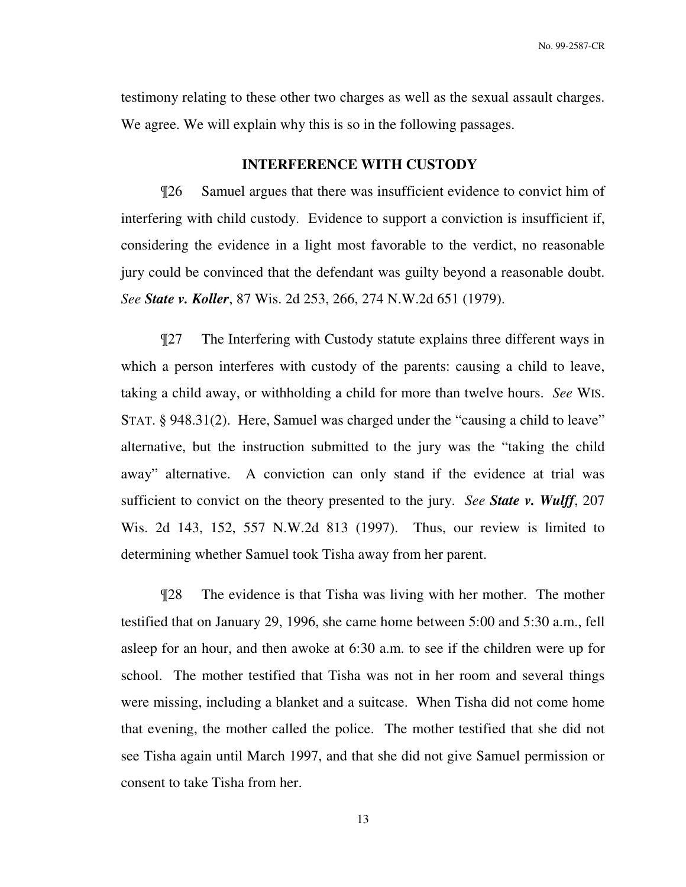testimony relating to these other two charges as well as the sexual assault charges. We agree. We will explain why this is so in the following passages.

### **INTERFERENCE WITH CUSTODY**

 ¶26 Samuel argues that there was insufficient evidence to convict him of interfering with child custody. Evidence to support a conviction is insufficient if, considering the evidence in a light most favorable to the verdict, no reasonable jury could be convinced that the defendant was guilty beyond a reasonable doubt. *See State v. Koller*, 87 Wis. 2d 253, 266, 274 N.W.2d 651 (1979).

¶27 The Interfering with Custody statute explains three different ways in which a person interferes with custody of the parents: causing a child to leave, taking a child away, or withholding a child for more than twelve hours. *See* WIS. STAT. § 948.31(2). Here, Samuel was charged under the "causing a child to leave" alternative, but the instruction submitted to the jury was the "taking the child away" alternative. A conviction can only stand if the evidence at trial was sufficient to convict on the theory presented to the jury. *See State v. Wulff*, 207 Wis. 2d 143, 152, 557 N.W.2d 813 (1997). Thus, our review is limited to determining whether Samuel took Tisha away from her parent.

¶28 The evidence is that Tisha was living with her mother. The mother testified that on January 29, 1996, she came home between 5:00 and 5:30 a.m., fell asleep for an hour, and then awoke at 6:30 a.m. to see if the children were up for school. The mother testified that Tisha was not in her room and several things were missing, including a blanket and a suitcase. When Tisha did not come home that evening, the mother called the police. The mother testified that she did not see Tisha again until March 1997, and that she did not give Samuel permission or consent to take Tisha from her.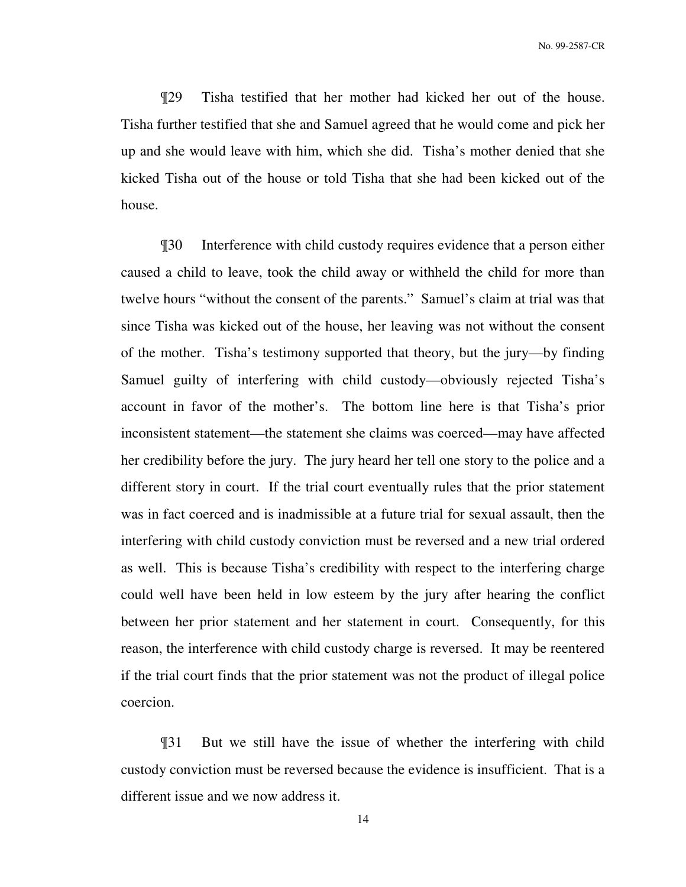¶29 Tisha testified that her mother had kicked her out of the house. Tisha further testified that she and Samuel agreed that he would come and pick her up and she would leave with him, which she did. Tisha's mother denied that she kicked Tisha out of the house or told Tisha that she had been kicked out of the house.

¶30 Interference with child custody requires evidence that a person either caused a child to leave, took the child away or withheld the child for more than twelve hours "without the consent of the parents." Samuel's claim at trial was that since Tisha was kicked out of the house, her leaving was not without the consent of the mother. Tisha's testimony supported that theory, but the jury—by finding Samuel guilty of interfering with child custody—obviously rejected Tisha's account in favor of the mother's. The bottom line here is that Tisha's prior inconsistent statement—the statement she claims was coerced—may have affected her credibility before the jury. The jury heard her tell one story to the police and a different story in court. If the trial court eventually rules that the prior statement was in fact coerced and is inadmissible at a future trial for sexual assault, then the interfering with child custody conviction must be reversed and a new trial ordered as well. This is because Tisha's credibility with respect to the interfering charge could well have been held in low esteem by the jury after hearing the conflict between her prior statement and her statement in court. Consequently, for this reason, the interference with child custody charge is reversed. It may be reentered if the trial court finds that the prior statement was not the product of illegal police coercion.

¶31 But we still have the issue of whether the interfering with child custody conviction must be reversed because the evidence is insufficient. That is a different issue and we now address it.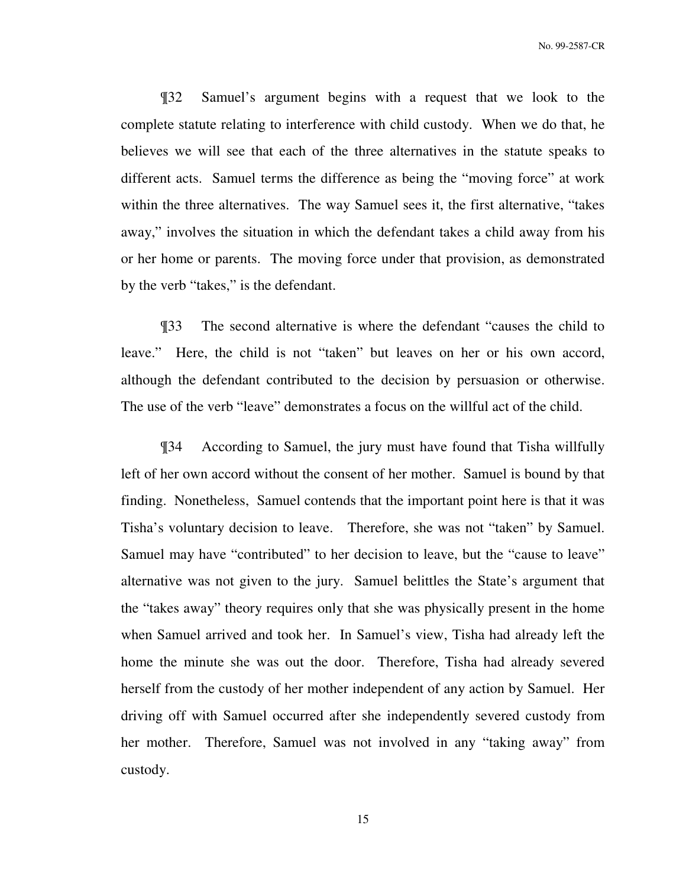¶32 Samuel's argument begins with a request that we look to the complete statute relating to interference with child custody. When we do that, he believes we will see that each of the three alternatives in the statute speaks to different acts. Samuel terms the difference as being the "moving force" at work within the three alternatives. The way Samuel sees it, the first alternative, "takes away," involves the situation in which the defendant takes a child away from his or her home or parents. The moving force under that provision, as demonstrated by the verb "takes," is the defendant.

¶33 The second alternative is where the defendant "causes the child to leave." Here, the child is not "taken" but leaves on her or his own accord, although the defendant contributed to the decision by persuasion or otherwise. The use of the verb "leave" demonstrates a focus on the willful act of the child.

¶34 According to Samuel, the jury must have found that Tisha willfully left of her own accord without the consent of her mother. Samuel is bound by that finding. Nonetheless, Samuel contends that the important point here is that it was Tisha's voluntary decision to leave. Therefore, she was not "taken" by Samuel. Samuel may have "contributed" to her decision to leave, but the "cause to leave" alternative was not given to the jury. Samuel belittles the State's argument that the "takes away" theory requires only that she was physically present in the home when Samuel arrived and took her. In Samuel's view, Tisha had already left the home the minute she was out the door. Therefore, Tisha had already severed herself from the custody of her mother independent of any action by Samuel. Her driving off with Samuel occurred after she independently severed custody from her mother. Therefore, Samuel was not involved in any "taking away" from custody.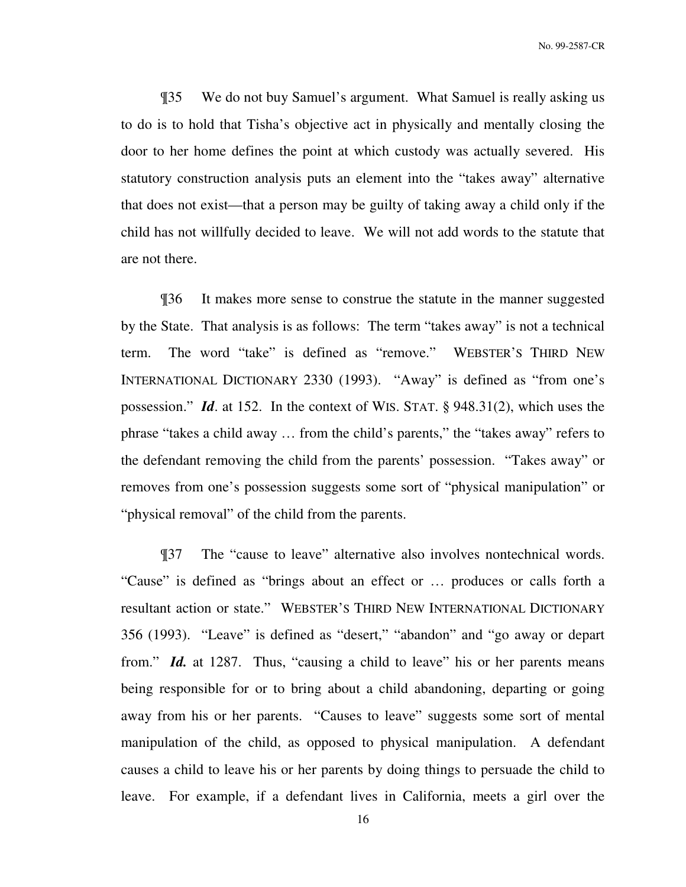¶35 We do not buy Samuel's argument. What Samuel is really asking us to do is to hold that Tisha's objective act in physically and mentally closing the door to her home defines the point at which custody was actually severed. His statutory construction analysis puts an element into the "takes away" alternative that does not exist—that a person may be guilty of taking away a child only if the child has not willfully decided to leave. We will not add words to the statute that are not there.

¶36 It makes more sense to construe the statute in the manner suggested by the State. That analysis is as follows: The term "takes away" is not a technical term. The word "take" is defined as "remove." WEBSTER'S THIRD NEW INTERNATIONAL DICTIONARY 2330 (1993). "Away" is defined as "from one's possession." *Id*. at 152. In the context of WIS. STAT. § 948.31(2), which uses the phrase "takes a child away … from the child's parents," the "takes away" refers to the defendant removing the child from the parents' possession. "Takes away" or removes from one's possession suggests some sort of "physical manipulation" or "physical removal" of the child from the parents.

¶37 The "cause to leave" alternative also involves nontechnical words. "Cause" is defined as "brings about an effect or … produces or calls forth a resultant action or state." WEBSTER'S THIRD NEW INTERNATIONAL DICTIONARY 356 (1993). "Leave" is defined as "desert," "abandon" and "go away or depart from." *Id.* at 1287. Thus, "causing a child to leave" his or her parents means being responsible for or to bring about a child abandoning, departing or going away from his or her parents. "Causes to leave" suggests some sort of mental manipulation of the child, as opposed to physical manipulation. A defendant causes a child to leave his or her parents by doing things to persuade the child to leave. For example, if a defendant lives in California, meets a girl over the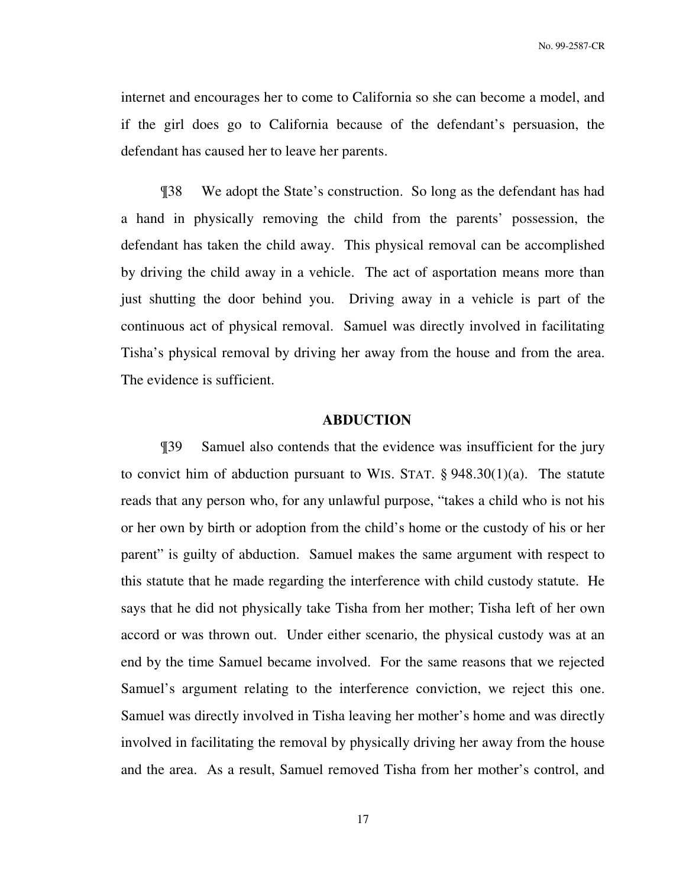internet and encourages her to come to California so she can become a model, and if the girl does go to California because of the defendant's persuasion, the defendant has caused her to leave her parents.

¶38 We adopt the State's construction. So long as the defendant has had a hand in physically removing the child from the parents' possession, the defendant has taken the child away. This physical removal can be accomplished by driving the child away in a vehicle. The act of asportation means more than just shutting the door behind you. Driving away in a vehicle is part of the continuous act of physical removal. Samuel was directly involved in facilitating Tisha's physical removal by driving her away from the house and from the area. The evidence is sufficient.

#### **ABDUCTION**

¶39 Samuel also contends that the evidence was insufficient for the jury to convict him of abduction pursuant to WIS. STAT.  $\S$  948.30(1)(a). The statute reads that any person who, for any unlawful purpose, "takes a child who is not his or her own by birth or adoption from the child's home or the custody of his or her parent" is guilty of abduction. Samuel makes the same argument with respect to this statute that he made regarding the interference with child custody statute. He says that he did not physically take Tisha from her mother; Tisha left of her own accord or was thrown out. Under either scenario, the physical custody was at an end by the time Samuel became involved. For the same reasons that we rejected Samuel's argument relating to the interference conviction, we reject this one. Samuel was directly involved in Tisha leaving her mother's home and was directly involved in facilitating the removal by physically driving her away from the house and the area. As a result, Samuel removed Tisha from her mother's control, and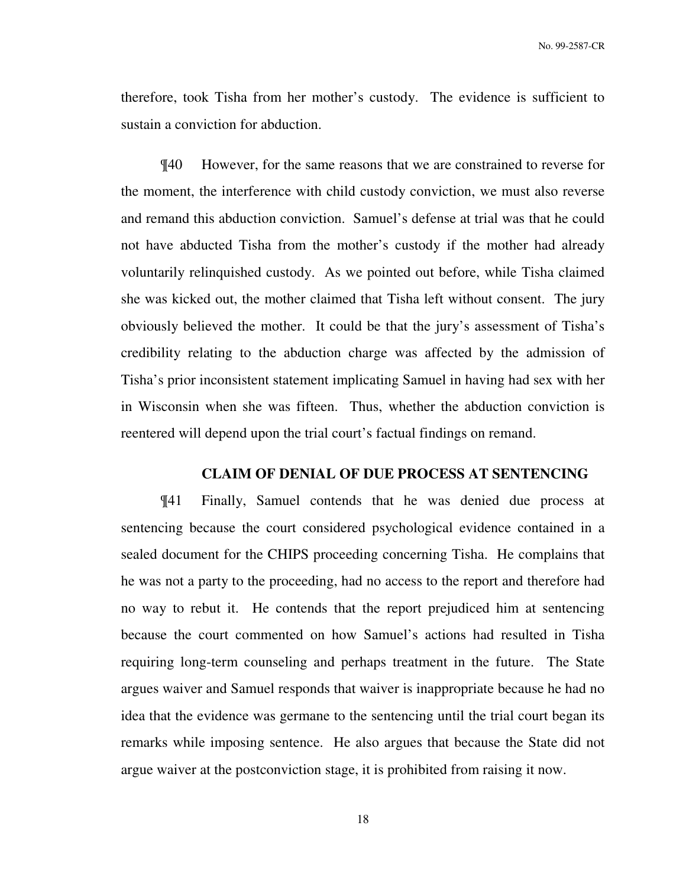therefore, took Tisha from her mother's custody. The evidence is sufficient to sustain a conviction for abduction.

¶40 However, for the same reasons that we are constrained to reverse for the moment, the interference with child custody conviction, we must also reverse and remand this abduction conviction. Samuel's defense at trial was that he could not have abducted Tisha from the mother's custody if the mother had already voluntarily relinquished custody. As we pointed out before, while Tisha claimed she was kicked out, the mother claimed that Tisha left without consent. The jury obviously believed the mother. It could be that the jury's assessment of Tisha's credibility relating to the abduction charge was affected by the admission of Tisha's prior inconsistent statement implicating Samuel in having had sex with her in Wisconsin when she was fifteen. Thus, whether the abduction conviction is reentered will depend upon the trial court's factual findings on remand.

# **CLAIM OF DENIAL OF DUE PROCESS AT SENTENCING**

¶41 Finally, Samuel contends that he was denied due process at sentencing because the court considered psychological evidence contained in a sealed document for the CHIPS proceeding concerning Tisha. He complains that he was not a party to the proceeding, had no access to the report and therefore had no way to rebut it. He contends that the report prejudiced him at sentencing because the court commented on how Samuel's actions had resulted in Tisha requiring long-term counseling and perhaps treatment in the future. The State argues waiver and Samuel responds that waiver is inappropriate because he had no idea that the evidence was germane to the sentencing until the trial court began its remarks while imposing sentence. He also argues that because the State did not argue waiver at the postconviction stage, it is prohibited from raising it now.